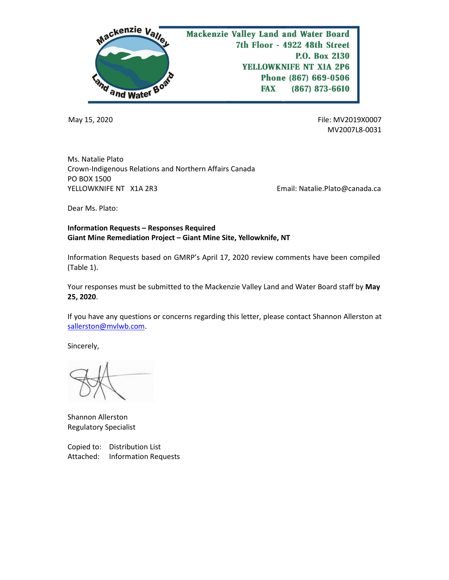

May 15, 2020 File: MV2019X0007 MV2007L8-0031

Ms. Natalie Plato Crown-Indigenous Relations and Northern Affairs Canada PO BOX 1500 YELLOWKNIFE NT X1A 2R3 THE SERVICE SERVICE REMAIL: Natalie.Plato@canada.ca

Dear Ms. Plato:

## **Information Requests – Responses Required Giant Mine Remediation Project – Giant Mine Site, Yellowknife, NT**

Information Requests based on GMRP's April 17, 2020 review comments have been compiled (Table 1).

Your responses must be submitted to the Mackenzie Valley Land and Water Board staff by **May 25, 2020**.

If you have any questions or concerns regarding this letter, please contact Shannon Allerston at [sallerston@mvlwb.com.](mailto:sallerston@mvlwb.com)

Sincerely,

Shannon Allerston Regulatory Specialist

Copied to: Distribution List Attached: Information Requests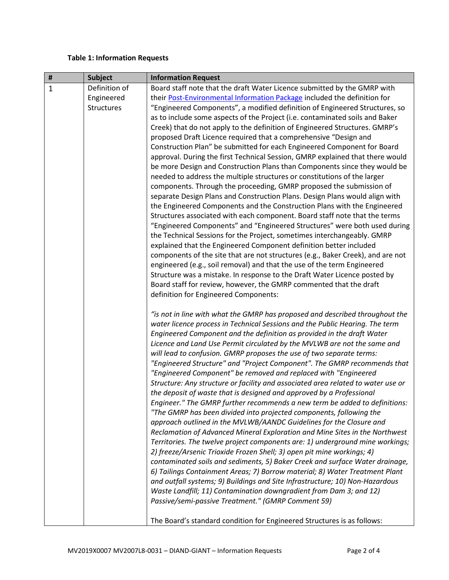## **Table 1: Information Requests**

| #            | <b>Subject</b>    | <b>Information Request</b>                                                       |
|--------------|-------------------|----------------------------------------------------------------------------------|
| $\mathbf{1}$ | Definition of     | Board staff note that the draft Water Licence submitted by the GMRP with         |
|              | Engineered        | their Post-Environmental Information Package included the definition for         |
|              | <b>Structures</b> | "Engineered Components", a modified definition of Engineered Structures, so      |
|              |                   | as to include some aspects of the Project (i.e. contaminated soils and Baker     |
|              |                   | Creek) that do not apply to the definition of Engineered Structures. GMRP's      |
|              |                   | proposed Draft Licence required that a comprehensive "Design and                 |
|              |                   | Construction Plan" be submitted for each Engineered Component for Board          |
|              |                   | approval. During the first Technical Session, GMRP explained that there would    |
|              |                   | be more Design and Construction Plans than Components since they would be        |
|              |                   | needed to address the multiple structures or constitutions of the larger         |
|              |                   | components. Through the proceeding, GMRP proposed the submission of              |
|              |                   | separate Design Plans and Construction Plans. Design Plans would align with      |
|              |                   | the Engineered Components and the Construction Plans with the Engineered         |
|              |                   | Structures associated with each component. Board staff note that the terms       |
|              |                   | "Engineered Components" and "Engineered Structures" were both used during        |
|              |                   | the Technical Sessions for the Project, sometimes interchangeably. GMRP          |
|              |                   | explained that the Engineered Component definition better included               |
|              |                   | components of the site that are not structures (e.g., Baker Creek), and are not  |
|              |                   | engineered (e.g., soil removal) and that the use of the term Engineered          |
|              |                   | Structure was a mistake. In response to the Draft Water Licence posted by        |
|              |                   | Board staff for review, however, the GMRP commented that the draft               |
|              |                   | definition for Engineered Components:                                            |
|              |                   |                                                                                  |
|              |                   | "is not in line with what the GMRP has proposed and described throughout the     |
|              |                   | water licence process in Technical Sessions and the Public Hearing. The term     |
|              |                   | Engineered Component and the definition as provided in the draft Water           |
|              |                   | Licence and Land Use Permit circulated by the MVLWB are not the same and         |
|              |                   | will lead to confusion. GMRP proposes the use of two separate terms:             |
|              |                   | "Engineered Structure" and "Project Component". The GMRP recommends that         |
|              |                   | "Engineered Component" be removed and replaced with "Engineered                  |
|              |                   | Structure: Any structure or facility and associated area related to water use or |
|              |                   | the deposit of waste that is designed and approved by a Professional             |
|              |                   | Engineer." The GMRP further recommends a new term be added to definitions:       |
|              |                   | "The GMRP has been divided into projected components, following the              |
|              |                   | approach outlined in the MVLWB/AANDC Guidelines for the Closure and              |
|              |                   | Reclamation of Advanced Mineral Exploration and Mine Sites in the Northwest      |
|              |                   | Territories. The twelve project components are: 1) underground mine workings;    |
|              |                   | 2) freeze/Arsenic Trioxide Frozen Shell; 3) open pit mine workings; 4)           |
|              |                   | contaminated soils and sediments, 5) Baker Creek and surface Water drainage,     |
|              |                   | 6) Tailings Containment Areas; 7) Borrow material; 8) Water Treatment Plant      |
|              |                   | and outfall systems; 9) Buildings and Site Infrastructure; 10) Non-Hazardous     |
|              |                   | Waste Landfill; 11) Contamination downgradient from Dam 3; and 12)               |
|              |                   | Passive/semi-passive Treatment." (GMRP Comment 59)                               |
|              |                   |                                                                                  |
|              |                   | The Board's standard condition for Engineered Structures is as follows:          |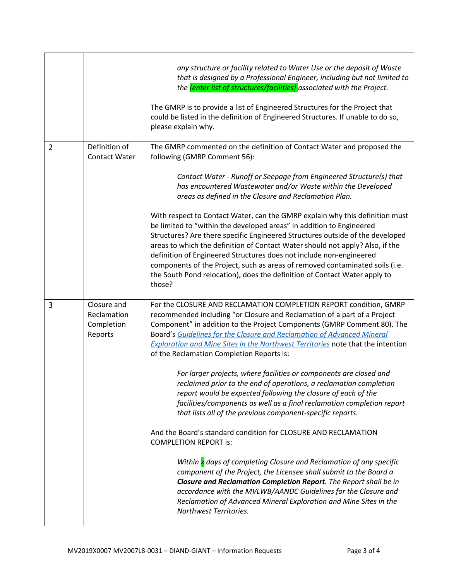|                |                                                     | any structure or facility related to Water Use or the deposit of Waste<br>that is designed by a Professional Engineer, including but not limited to<br>the <i>[enter list of structures/facilities]</i> associated with the Project.<br>The GMRP is to provide a list of Engineered Structures for the Project that<br>could be listed in the definition of Engineered Structures. If unable to do so,<br>please explain why.                                                                                                                                                                                                                                                                                                                                                                  |
|----------------|-----------------------------------------------------|------------------------------------------------------------------------------------------------------------------------------------------------------------------------------------------------------------------------------------------------------------------------------------------------------------------------------------------------------------------------------------------------------------------------------------------------------------------------------------------------------------------------------------------------------------------------------------------------------------------------------------------------------------------------------------------------------------------------------------------------------------------------------------------------|
| $\overline{2}$ | Definition of<br><b>Contact Water</b>               | The GMRP commented on the definition of Contact Water and proposed the<br>following (GMRP Comment 56):<br>Contact Water - Runoff or Seepage from Engineered Structure(s) that<br>has encountered Wastewater and/or Waste within the Developed                                                                                                                                                                                                                                                                                                                                                                                                                                                                                                                                                  |
|                |                                                     | areas as defined in the Closure and Reclamation Plan.<br>With respect to Contact Water, can the GMRP explain why this definition must<br>be limited to "within the developed areas" in addition to Engineered<br>Structures? Are there specific Engineered Structures outside of the developed<br>areas to which the definition of Contact Water should not apply? Also, if the<br>definition of Engineered Structures does not include non-engineered<br>components of the Project, such as areas of removed contaminated soils (i.e.<br>the South Pond relocation), does the definition of Contact Water apply to<br>those?                                                                                                                                                                  |
| 3              | Closure and<br>Reclamation<br>Completion<br>Reports | For the CLOSURE AND RECLAMATION COMPLETION REPORT condition, GMRP<br>recommended including "or Closure and Reclamation of a part of a Project<br>Component" in addition to the Project Components (GMRP Comment 80). The<br>Board's Guidelines for the Closure and Reclamation of Advanced Mineral<br><b>Exploration and Mine Sites in the Northwest Territories note that the intention</b><br>of the Reclamation Completion Reports is:<br>For larger projects, where facilities or components are closed and<br>reclaimed prior to the end of operations, a reclamation completion<br>report would be expected following the closure of each of the<br>facilities/components as well as a final reclamation completion report<br>that lists all of the previous component-specific reports. |
|                |                                                     | And the Board's standard condition for CLOSURE AND RECLAMATION<br><b>COMPLETION REPORT is:</b><br>Within x days of completing Closure and Reclamation of any specific<br>component of the Project, the Licensee shall submit to the Board a<br>Closure and Reclamation Completion Report. The Report shall be in<br>accordance with the MVLWB/AANDC Guidelines for the Closure and<br>Reclamation of Advanced Mineral Exploration and Mine Sites in the<br>Northwest Territories.                                                                                                                                                                                                                                                                                                              |